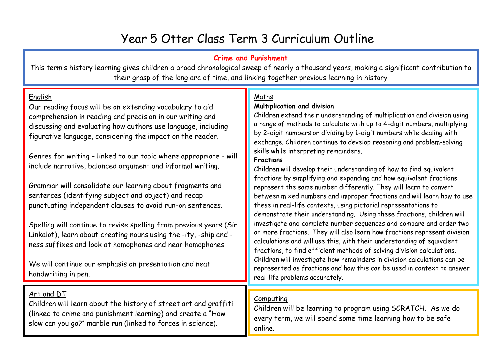# Year 5 Otter Class Term 3 Curriculum Outline

# **Crime and Punishment**

This term's history learning gives children a broad chronological sweep of nearly a thousand years, making a significant contribution to their grasp of the long arc of time, and linking together previous learning in history

## English

Our reading focus will be on extending vocabulary to aid comprehension in reading and precision in our writing and discussing and evaluating how authors use language, including figurative language, considering the impact on the reader.

Genres for writing – linked to our topic where appropriate - will include narrative, balanced argument and informal writing.

Grammar will consolidate our learning about fragments and sentences (identifying subject and object) and recap punctuating independent clauses to avoid run-on sentences.

Spelling will continue to revise spelling from previous years (Sir Linkalot), learn about creating nouns using the -ity, -ship and ness suffixes and look at homophones and near homophones.

We will continue our emphasis on presentation and neat handwriting in pen.

# Art and DT

Children will learn about the history of street art and graffiti (linked to crime and punishment learning) and create a "How slow can you go?" marble run (linked to forces in science).

# Maths

## **Multiplication and division**

Children extend their understanding of multiplication and division using a range of methods to calculate with up to 4-digit numbers, multiplying by 2-digit numbers or dividing by 1-digit numbers while dealing with exchange. Children continue to develop reasoning and problem-solving skills while interpreting remainders.

#### **Fractions**

Children will develop their understanding of how to find equivalent fractions by simplifying and expanding and how equivalent fractions represent the same number differently. They will learn to convert between mixed numbers and improper fractions and will learn how to use these in real-life contexts, using pictorial representations to demonstrate their understanding. Using these fractions, children will investigate and complete number sequences and compare and order two or more fractions. They will also learn how fractions represent division calculations and will use this, with their understanding of equivalent fractions, to find efficient methods of solving division calculations. Children will investigate how remainders in division calculations can be represented as fractions and how this can be used in context to answer real-life problems accurately.

# Computing

Children will be learning to program using SCRATCH. As we do every term, we will spend some time learning how to be safe online.